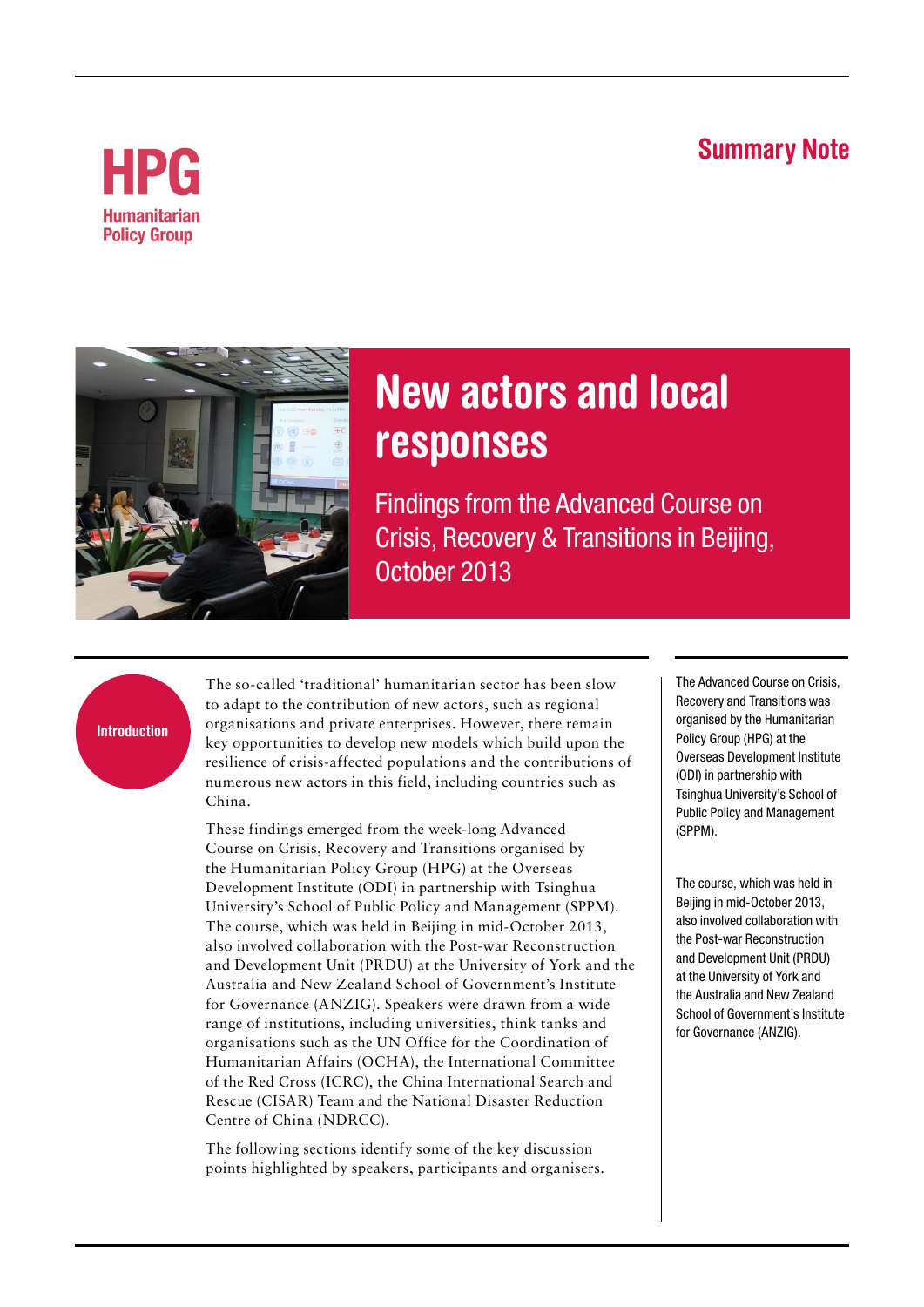## **Summary Note**





# **New actors and local responses**

Findings from the Advanced Course on Crisis, Recovery & Transitions in Beijing, October 2013

#### **Introduction**

The so-called 'traditional' humanitarian sector has been slow to adapt to the contribution of new actors, such as regional organisations and private enterprises. However, there remain key opportunities to develop new models which build upon the resilience of crisis-affected populations and the contributions of numerous new actors in this field, including countries such as China.

These findings emerged from the week-long Advanced Course on Crisis, Recovery and Transitions organised by the Humanitarian Policy Group (HPG) at the Overseas Development Institute (ODI) in partnership with Tsinghua University's School of Public Policy and Management (SPPM). The course, which was held in Beijing in mid-October 2013, also involved collaboration with the Post-war Reconstruction and Development Unit (PRDU) at the University of York and the Australia and New Zealand School of Government's Institute for Governance (ANZIG). Speakers were drawn from a wide range of institutions, including universities, think tanks and organisations such as the UN Office for the Coordination of Humanitarian Affairs (OCHA), the International Committee of the Red Cross (ICRC), the China International Search and Rescue (CISAR) Team and the National Disaster Reduction Centre of China (NDRCC).

The following sections identify some of the key discussion points highlighted by speakers, participants and organisers.

The Advanced Course on Crisis, Recovery and Transitions was organised by the Humanitarian Policy Group (HPG) at the Overseas Development Institute (ODI) in partnership with Tsinghua University's School of Public Policy and Management (SPPM).

The course, which was held in Beijing in mid-October 2013, also involved collaboration with the Post-war Reconstruction and Development Unit (PRDU) at the University of York and the Australia and New Zealand School of Government's Institute for Governance (ANZIG).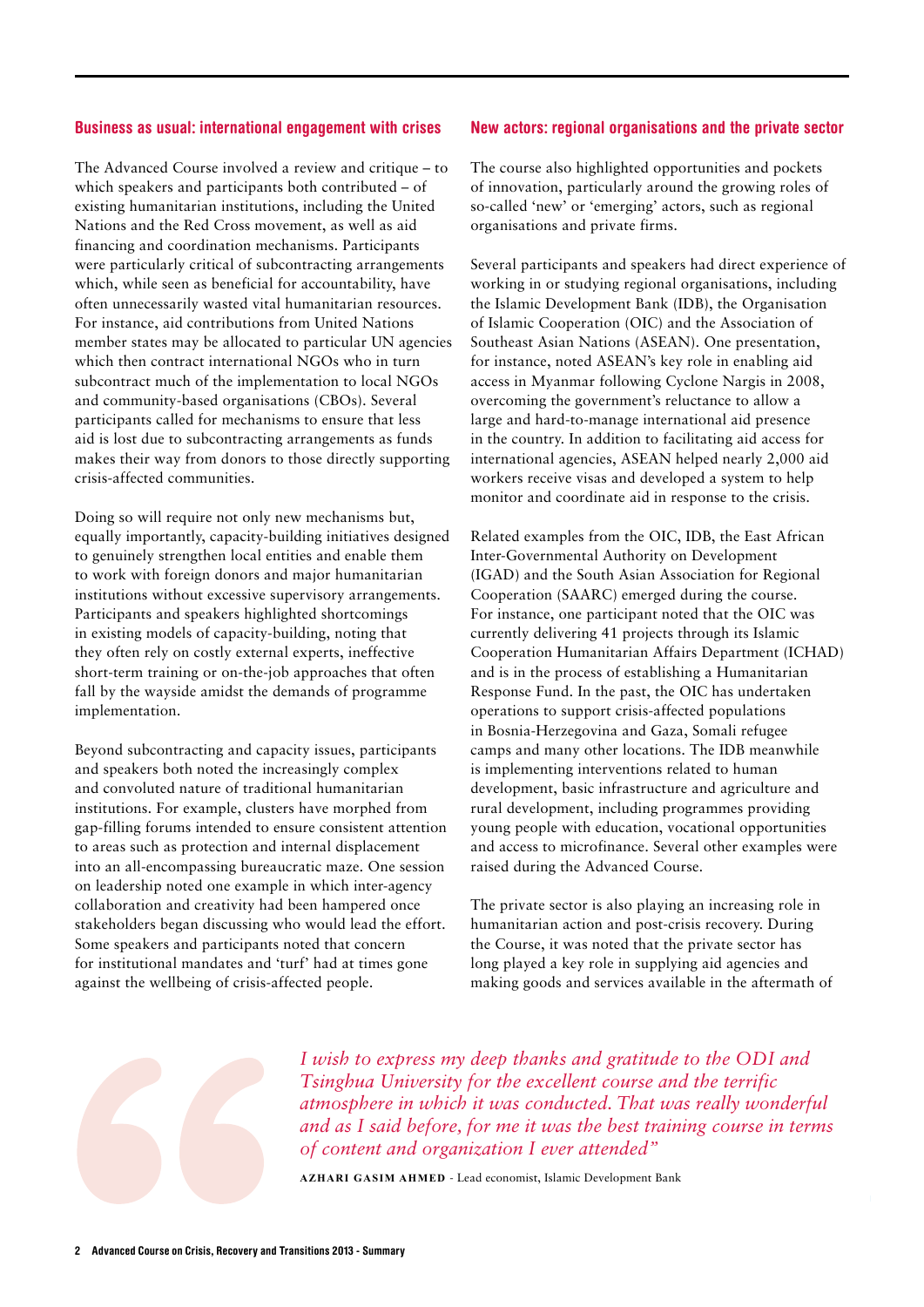#### Business as usual: international engagement with crises

The Advanced Course involved a review and critique – to which speakers and participants both contributed – of existing humanitarian institutions, including the United Nations and the Red Cross movement, as well as aid financing and coordination mechanisms. Participants were particularly critical of subcontracting arrangements which, while seen as beneficial for accountability, have often unnecessarily wasted vital humanitarian resources. For instance, aid contributions from United Nations member states may be allocated to particular UN agencies which then contract international NGOs who in turn subcontract much of the implementation to local NGOs and community-based organisations (CBOs). Several participants called for mechanisms to ensure that less aid is lost due to subcontracting arrangements as funds makes their way from donors to those directly supporting crisis-affected communities.

Doing so will require not only new mechanisms but, equally importantly, capacity-building initiatives designed to genuinely strengthen local entities and enable them to work with foreign donors and major humanitarian institutions without excessive supervisory arrangements. Participants and speakers highlighted shortcomings in existing models of capacity-building, noting that they often rely on costly external experts, ineffective short-term training or on-the-job approaches that often fall by the wayside amidst the demands of programme implementation.

Beyond subcontracting and capacity issues, participants and speakers both noted the increasingly complex and convoluted nature of traditional humanitarian institutions. For example, clusters have morphed from gap-filling forums intended to ensure consistent attention to areas such as protection and internal displacement into an all-encompassing bureaucratic maze. One session on leadership noted one example in which inter-agency collaboration and creativity had been hampered once stakeholders began discussing who would lead the effort. Some speakers and participants noted that concern for institutional mandates and 'turf' had at times gone against the wellbeing of crisis-affected people.

#### New actors: regional organisations and the private sector

The course also highlighted opportunities and pockets of innovation, particularly around the growing roles of so-called 'new' or 'emerging' actors, such as regional organisations and private firms.

Several participants and speakers had direct experience of working in or studying regional organisations, including the Islamic Development Bank (IDB), the Organisation of Islamic Cooperation (OIC) and the Association of Southeast Asian Nations (ASEAN). One presentation, for instance, noted ASEAN's key role in enabling aid access in Myanmar following Cyclone Nargis in 2008, overcoming the government's reluctance to allow a large and hard-to-manage international aid presence in the country. In addition to facilitating aid access for international agencies, ASEAN helped nearly 2,000 aid workers receive visas and developed a system to help monitor and coordinate aid in response to the crisis.

Related examples from the OIC, IDB, the East African Inter-Governmental Authority on Development (IGAD) and the South Asian Association for Regional Cooperation (SAARC) emerged during the course. For instance, one participant noted that the OIC was currently delivering 41 projects through its Islamic Cooperation Humanitarian Affairs Department (ICHAD) and is in the process of establishing a Humanitarian Response Fund. In the past, the OIC has undertaken operations to support crisis-affected populations in Bosnia-Herzegovina and Gaza, Somali refugee camps and many other locations. The IDB meanwhile is implementing interventions related to human development, basic infrastructure and agriculture and rural development, including programmes providing young people with education, vocational opportunities and access to microfinance. Several other examples were raised during the Advanced Course.

The private sector is also playing an increasing role in humanitarian action and post-crisis recovery. During the Course, it was noted that the private sector has long played a key role in supplying aid agencies and making goods and services available in the aftermath of



*I wish to express my deep thanks and gratitude to the ODI and Tsinghua University for the excellent course and the terrific atmosphere in which it was conducted. That was really wonderful and as I said before, for me it was the best training course in terms of content and organization I ever attended"*

**Azhari Gasim Ahmed** - Lead economist, Islamic Development Bank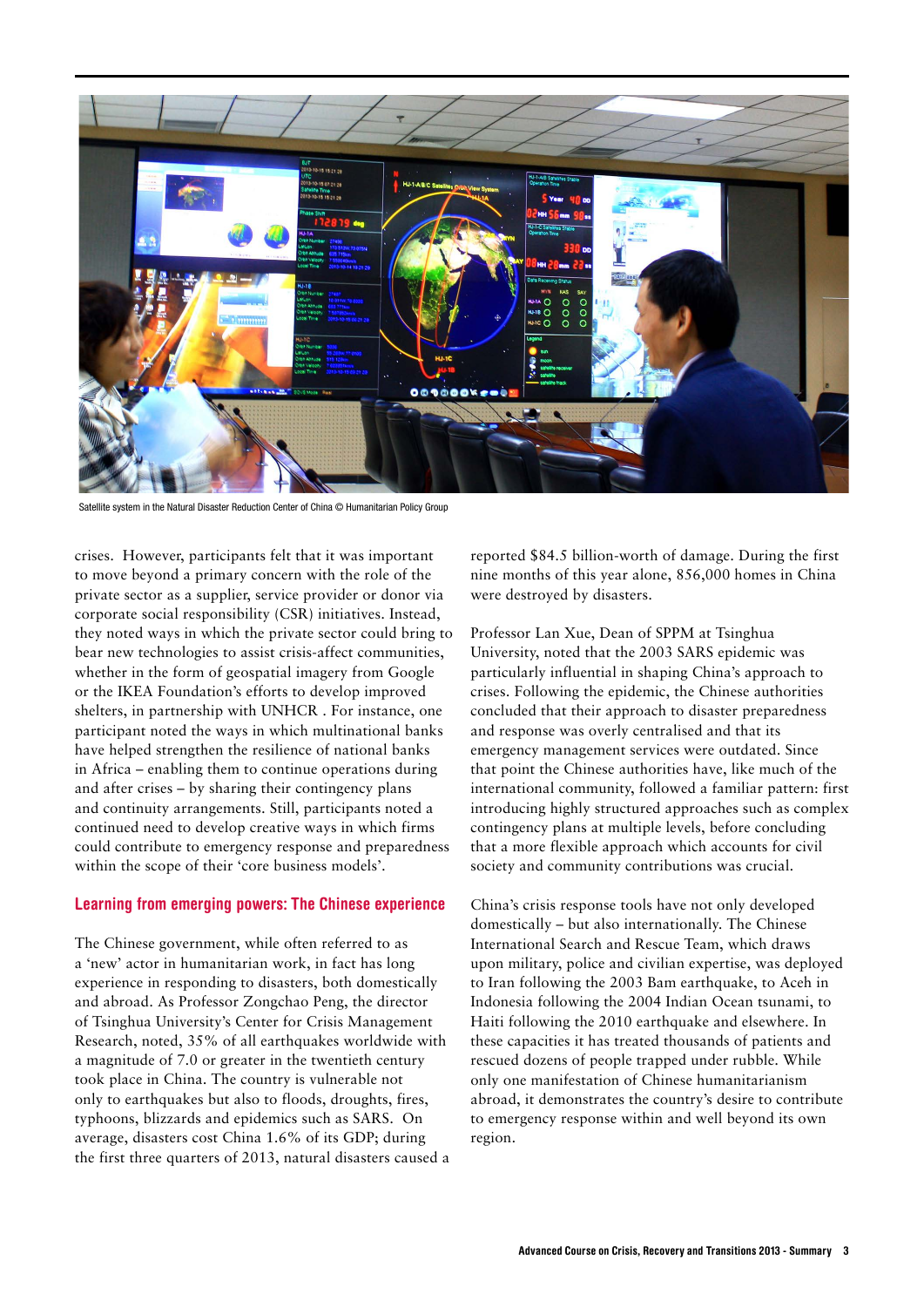

Satellite system in the Natural Disaster Reduction Center of China © Humanitarian Policy Group

crises. However, participants felt that it was important to move beyond a primary concern with the role of the private sector as a supplier, service provider or donor via corporate social responsibility (CSR) initiatives. Instead, they noted ways in which the private sector could bring to bear new technologies to assist crisis-affect communities, whether in the form of geospatial imagery from Google or the IKEA Foundation's efforts to develop improved shelters, in partnership with UNHCR . For instance, one participant noted the ways in which multinational banks have helped strengthen the resilience of national banks in Africa – enabling them to continue operations during and after crises – by sharing their contingency plans and continuity arrangements. Still, participants noted a continued need to develop creative ways in which firms could contribute to emergency response and preparedness within the scope of their 'core business models'.

#### Learning from emerging powers: The Chinese experience

The Chinese government, while often referred to as a 'new' actor in humanitarian work, in fact has long experience in responding to disasters, both domestically and abroad. As Professor Zongchao Peng, the director of Tsinghua University's Center for Crisis Management Research, noted, 35% of all earthquakes worldwide with a magnitude of 7.0 or greater in the twentieth century took place in China. The country is vulnerable not only to earthquakes but also to floods, droughts, fires, typhoons, blizzards and epidemics such as SARS. On average, disasters cost China 1.6% of its GDP; during the first three quarters of 2013, natural disasters caused a reported \$84.5 billion-worth of damage. During the first nine months of this year alone, 856,000 homes in China were destroyed by disasters.

Professor Lan Xue, Dean of SPPM at Tsinghua University, noted that the 2003 SARS epidemic was particularly influential in shaping China's approach to crises. Following the epidemic, the Chinese authorities concluded that their approach to disaster preparedness and response was overly centralised and that its emergency management services were outdated. Since that point the Chinese authorities have, like much of the international community, followed a familiar pattern: first introducing highly structured approaches such as complex contingency plans at multiple levels, before concluding that a more flexible approach which accounts for civil society and community contributions was crucial.

China's crisis response tools have not only developed domestically – but also internationally. The Chinese International Search and Rescue Team, which draws upon military, police and civilian expertise, was deployed to Iran following the 2003 Bam earthquake, to Aceh in Indonesia following the 2004 Indian Ocean tsunami, to Haiti following the 2010 earthquake and elsewhere. In these capacities it has treated thousands of patients and rescued dozens of people trapped under rubble. While only one manifestation of Chinese humanitarianism abroad, it demonstrates the country's desire to contribute to emergency response within and well beyond its own region.